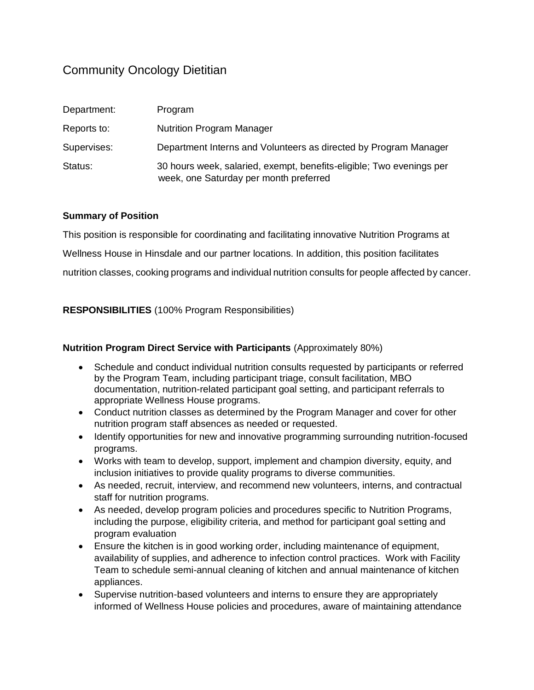# Community Oncology Dietitian

| Department: | Program                                                                                                        |
|-------------|----------------------------------------------------------------------------------------------------------------|
| Reports to: | <b>Nutrition Program Manager</b>                                                                               |
| Supervises: | Department Interns and Volunteers as directed by Program Manager                                               |
| Status:     | 30 hours week, salaried, exempt, benefits-eligible; Two evenings per<br>week, one Saturday per month preferred |

### **Summary of Position**

This position is responsible for coordinating and facilitating innovative Nutrition Programs at Wellness House in Hinsdale and our partner locations. In addition, this position facilitates nutrition classes, cooking programs and individual nutrition consults for people affected by cancer.

**RESPONSIBILITIES** (100% Program Responsibilities)

#### **Nutrition Program Direct Service with Participants** (Approximately 80%)

- Schedule and conduct individual nutrition consults requested by participants or referred by the Program Team, including participant triage, consult facilitation, MBO documentation, nutrition-related participant goal setting, and participant referrals to appropriate Wellness House programs.
- Conduct nutrition classes as determined by the Program Manager and cover for other nutrition program staff absences as needed or requested.
- Identify opportunities for new and innovative programming surrounding nutrition-focused programs.
- Works with team to develop, support, implement and champion diversity, equity, and inclusion initiatives to provide quality programs to diverse communities.
- As needed, recruit, interview, and recommend new volunteers, interns, and contractual staff for nutrition programs.
- As needed, develop program policies and procedures specific to Nutrition Programs, including the purpose, eligibility criteria, and method for participant goal setting and program evaluation
- Ensure the kitchen is in good working order, including maintenance of equipment, availability of supplies, and adherence to infection control practices. Work with Facility Team to schedule semi-annual cleaning of kitchen and annual maintenance of kitchen appliances.
- Supervise nutrition-based volunteers and interns to ensure they are appropriately informed of Wellness House policies and procedures, aware of maintaining attendance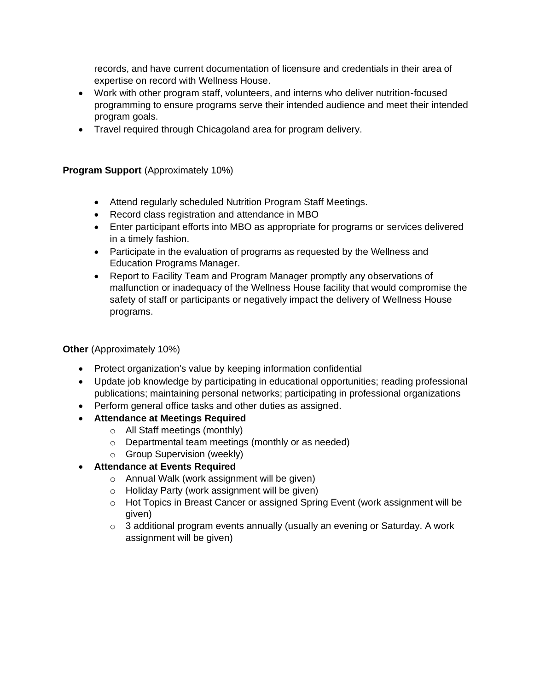records, and have current documentation of licensure and credentials in their area of expertise on record with Wellness House.

- Work with other program staff, volunteers, and interns who deliver nutrition-focused programming to ensure programs serve their intended audience and meet their intended program goals.
- Travel required through Chicagoland area for program delivery.

**Program Support** (Approximately 10%)

- Attend regularly scheduled Nutrition Program Staff Meetings.
- Record class registration and attendance in MBO
- Enter participant efforts into MBO as appropriate for programs or services delivered in a timely fashion.
- Participate in the evaluation of programs as requested by the Wellness and Education Programs Manager.
- Report to Facility Team and Program Manager promptly any observations of malfunction or inadequacy of the Wellness House facility that would compromise the safety of staff or participants or negatively impact the delivery of Wellness House programs.

**Other** (Approximately 10%)

- Protect organization's value by keeping information confidential
- Update job knowledge by participating in educational opportunities; reading professional publications; maintaining personal networks; participating in professional organizations
- Perform general office tasks and other duties as assigned.
- **Attendance at Meetings Required**
	- o All Staff meetings (monthly)
	- o Departmental team meetings (monthly or as needed)
	- o Group Supervision (weekly)
- **Attendance at Events Required**
	- o Annual Walk (work assignment will be given)
	- o Holiday Party (work assignment will be given)
	- o Hot Topics in Breast Cancer or assigned Spring Event (work assignment will be given)
	- $\circ$  3 additional program events annually (usually an evening or Saturday. A work assignment will be given)